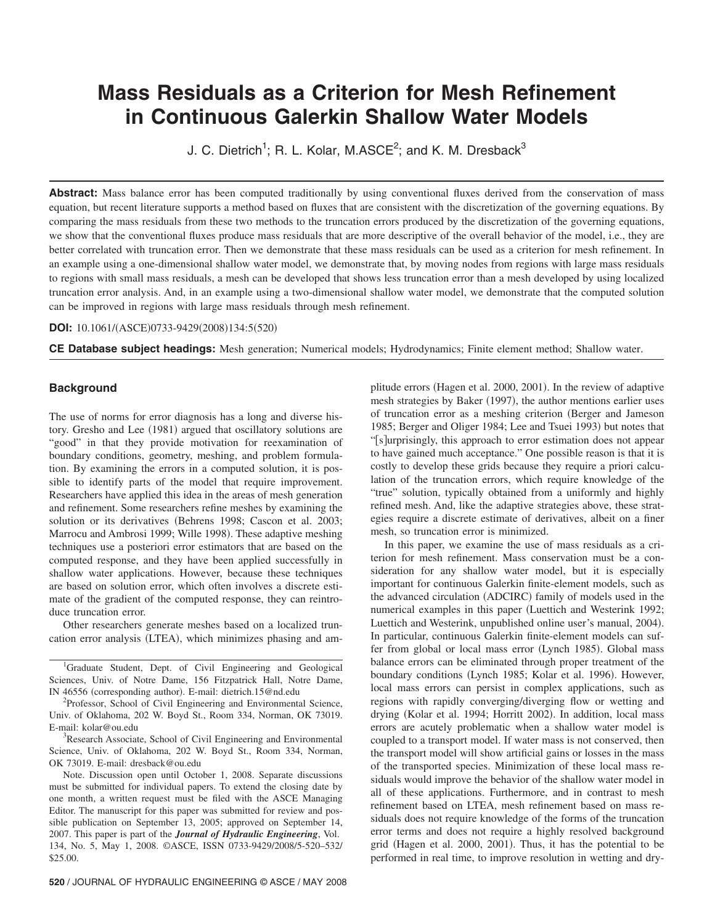# **Mass Residuals as a Criterion for Mesh Refinement in Continuous Galerkin Shallow Water Models**

J. C. Dietrich<sup>1</sup>; R. L. Kolar, M.ASCE<sup>2</sup>; and K. M. Dresback<sup>3</sup>

Abstract: Mass balance error has been computed traditionally by using conventional fluxes derived from the conservation of mass equation, but recent literature supports a method based on fluxes that are consistent with the discretization of the governing equations. By comparing the mass residuals from these two methods to the truncation errors produced by the discretization of the governing equations, we show that the conventional fluxes produce mass residuals that are more descriptive of the overall behavior of the model, i.e., they are better correlated with truncation error. Then we demonstrate that these mass residuals can be used as a criterion for mesh refinement. In an example using a one-dimensional shallow water model, we demonstrate that, by moving nodes from regions with large mass residuals to regions with small mass residuals, a mesh can be developed that shows less truncation error than a mesh developed by using localized truncation error analysis. And, in an example using a two-dimensional shallow water model, we demonstrate that the computed solution can be improved in regions with large mass residuals through mesh refinement.

## **DOI:** 10.1061/(ASCE)0733-9429(2008)134:5(520)

**CE Database subject headings:** Mesh generation; Numerical models; Hydrodynamics; Finite element method; Shallow water.

# **Background**

The use of norms for error diagnosis has a long and diverse history. Gresho and Lee (1981) argued that oscillatory solutions are "good" in that they provide motivation for reexamination of boundary conditions, geometry, meshing, and problem formulation. By examining the errors in a computed solution, it is possible to identify parts of the model that require improvement. Researchers have applied this idea in the areas of mesh generation and refinement. Some researchers refine meshes by examining the solution or its derivatives (Behrens 1998; Cascon et al. 2003; Marrocu and Ambrosi 1999; Wille 1998). These adaptive meshing techniques use a posteriori error estimators that are based on the computed response, and they have been applied successfully in shallow water applications. However, because these techniques are based on solution error, which often involves a discrete estimate of the gradient of the computed response, they can reintroduce truncation error.

Other researchers generate meshes based on a localized truncation error analysis (LTEA), which minimizes phasing and am-

<sup>1</sup>Graduate Student, Dept. of Civil Engineering and Geological Sciences, Univ. of Notre Dame, 156 Fitzpatrick Hall, Notre Dame, IN 46556 (corresponding author). E-mail: dietrich.15@nd.edu<br><sup>2</sup>Professor, Sebool of Givil Engineering and Environment

<sup>2</sup>Professor, School of Civil Engineering and Environmental Science, Univ. of Oklahoma, 202 W. Boyd St., Room 334, Norman, OK 73019. E-mail: kolar@ou.edu <sup>3</sup>

Research Associate, School of Civil Engineering and Environmental Science, Univ. of Oklahoma, 202 W. Boyd St., Room 334, Norman, OK 73019. E-mail: dresback@ou.edu

Note. Discussion open until October 1, 2008. Separate discussions must be submitted for individual papers. To extend the closing date by one month, a written request must be filed with the ASCE Managing Editor. The manuscript for this paper was submitted for review and possible publication on September 13, 2005; approved on September 14, 2007. This paper is part of the *Journal of Hydraulic Engineering*, Vol. 134, No. 5, May 1, 2008. ©ASCE, ISSN 0733-9429/2008/5-520–532/ \$25.00.

plitude errors (Hagen et al. 2000, 2001). In the review of adaptive mesh strategies by Baker (1997), the author mentions earlier uses of truncation error as a meshing criterion (Berger and Jameson 1985; Berger and Oliger 1984; Lee and Tsuei 1993) but notes that "[s] urprisingly, this approach to error estimation does not appear to have gained much acceptance." One possible reason is that it is costly to develop these grids because they require a priori calculation of the truncation errors, which require knowledge of the "true" solution, typically obtained from a uniformly and highly refined mesh. And, like the adaptive strategies above, these strategies require a discrete estimate of derivatives, albeit on a finer mesh, so truncation error is minimized.

In this paper, we examine the use of mass residuals as a criterion for mesh refinement. Mass conservation must be a consideration for any shallow water model, but it is especially important for continuous Galerkin finite-element models, such as the advanced circulation (ADCIRC) family of models used in the numerical examples in this paper Luettich and Westerink 1992; Luettich and Westerink, unpublished online user's manual, 2004). In particular, continuous Galerkin finite-element models can suffer from global or local mass error (Lynch 1985). Global mass balance errors can be eliminated through proper treatment of the boundary conditions (Lynch 1985; Kolar et al. 1996). However, local mass errors can persist in complex applications, such as regions with rapidly converging/diverging flow or wetting and drying (Kolar et al. 1994; Horritt 2002). In addition, local mass errors are acutely problematic when a shallow water model is coupled to a transport model. If water mass is not conserved, then the transport model will show artificial gains or losses in the mass of the transported species. Minimization of these local mass residuals would improve the behavior of the shallow water model in all of these applications. Furthermore, and in contrast to mesh refinement based on LTEA, mesh refinement based on mass residuals does not require knowledge of the forms of the truncation error terms and does not require a highly resolved background grid (Hagen et al. 2000, 2001). Thus, it has the potential to be performed in real time, to improve resolution in wetting and dry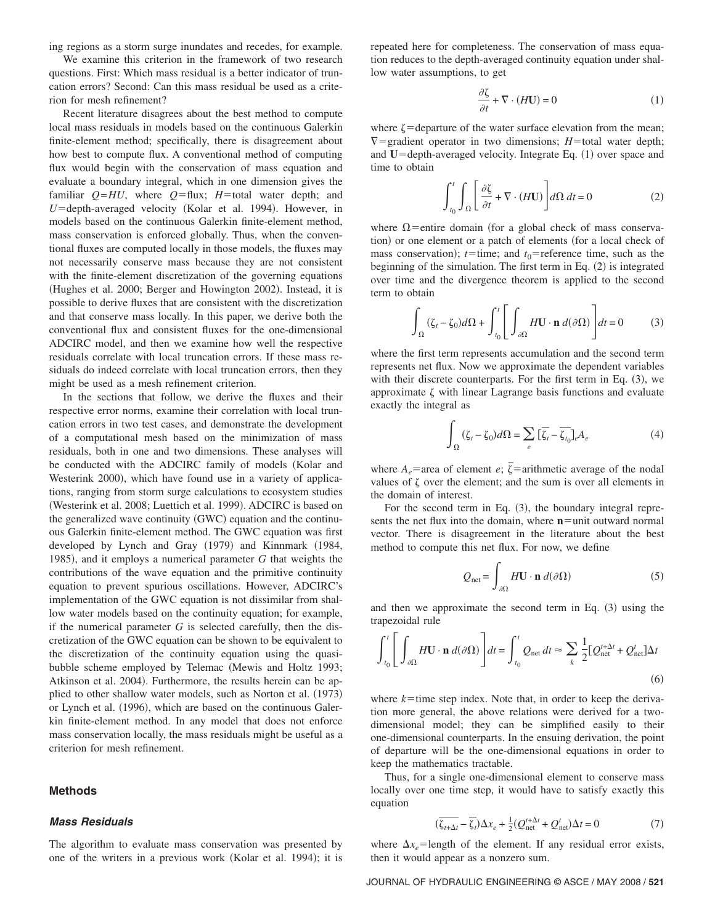ing regions as a storm surge inundates and recedes, for example.

We examine this criterion in the framework of two research questions. First: Which mass residual is a better indicator of truncation errors? Second: Can this mass residual be used as a criterion for mesh refinement?

Recent literature disagrees about the best method to compute local mass residuals in models based on the continuous Galerkin finite-element method; specifically, there is disagreement about how best to compute flux. A conventional method of computing flux would begin with the conservation of mass equation and evaluate a boundary integral, which in one dimension gives the familiar  $Q=HU$ , where  $Q=flux$ ;  $H=$  total water depth; and U=depth-averaged velocity (Kolar et al. 1994). However, in models based on the continuous Galerkin finite-element method, mass conservation is enforced globally. Thus, when the conventional fluxes are computed locally in those models, the fluxes may not necessarily conserve mass because they are not consistent with the finite-element discretization of the governing equations (Hughes et al. 2000; Berger and Howington 2002). Instead, it is possible to derive fluxes that are consistent with the discretization and that conserve mass locally. In this paper, we derive both the conventional flux and consistent fluxes for the one-dimensional ADCIRC model, and then we examine how well the respective residuals correlate with local truncation errors. If these mass residuals do indeed correlate with local truncation errors, then they might be used as a mesh refinement criterion.

In the sections that follow, we derive the fluxes and their respective error norms, examine their correlation with local truncation errors in two test cases, and demonstrate the development of a computational mesh based on the minimization of mass residuals, both in one and two dimensions. These analyses will be conducted with the ADCIRC family of models (Kolar and Westerink 2000), which have found use in a variety of applications, ranging from storm surge calculations to ecosystem studies (Westerink et al. 2008; Luettich et al. 1999). ADCIRC is based on the generalized wave continuity (GWC) equation and the continuous Galerkin finite-element method. The GWC equation was first developed by Lynch and Gray (1979) and Kinnmark (1984, 1985), and it employs a numerical parameter *G* that weights the contributions of the wave equation and the primitive continuity equation to prevent spurious oscillations. However, ADCIRC's implementation of the GWC equation is not dissimilar from shallow water models based on the continuity equation; for example, if the numerical parameter *G* is selected carefully, then the discretization of the GWC equation can be shown to be equivalent to the discretization of the continuity equation using the quasibubble scheme employed by Telemac Mewis and Holtz 1993; Atkinson et al. 2004). Furthermore, the results herein can be applied to other shallow water models, such as Norton et al. (1973) or Lynch et al. (1996), which are based on the continuous Galerkin finite-element method. In any model that does not enforce mass conservation locally, the mass residuals might be useful as a criterion for mesh refinement.

## **Methods**

#### *Mass Residuals*

The algorithm to evaluate mass conservation was presented by one of the writers in a previous work (Kolar et al. 1994); it is

repeated here for completeness. The conservation of mass equation reduces to the depth-averaged continuity equation under shallow water assumptions, to get

$$
\frac{\partial \zeta}{\partial t} + \nabla \cdot (H\mathbf{U}) = 0 \tag{1}
$$

where  $\zeta$  = departure of the water surface elevation from the mean;  $\nabla$ =gradient operator in two dimensions; *H*=total water depth; and U=depth-averaged velocity. Integrate Eq. (1) over space and time to obtain

$$
\int_{t_0}^{t} \int_{\Omega} \left[ \frac{\partial \zeta}{\partial t} + \nabla \cdot (H \mathbf{U}) \right] d\Omega dt = 0 \tag{2}
$$

where  $\Omega$ =entire domain (for a global check of mass conservation) or one element or a patch of elements (for a local check of mass conservation);  $t =$ time; and  $t_0$ = reference time, such as the beginning of the simulation. The first term in Eq. (2) is integrated over time and the divergence theorem is applied to the second term to obtain

$$
\int_{\Omega} (\zeta_t - \zeta_0) d\Omega + \int_{t_0}^t \left[ \int_{\partial \Omega} H \mathbf{U} \cdot \mathbf{n} \, d(\partial \Omega) \right] dt = 0 \tag{3}
$$

where the first term represents accumulation and the second term represents net flux. Now we approximate the dependent variables with their discrete counterparts. For the first term in Eq.  $(3)$ , we approximate  $\zeta$  with linear Lagrange basis functions and evaluate exactly the integral as

$$
\int_{\Omega} (\zeta_t - \zeta_0) d\Omega = \sum_e \left[ \overline{\zeta_t} - \overline{\zeta_{t_0}} \right]_e A_e \tag{4}
$$

where  $A_e$ = area of element *e*;  $\overline{\zeta}$ = arithmetic average of the nodal values of  $\zeta$  over the element; and the sum is over all elements in the domain of interest.

For the second term in Eq.  $(3)$ , the boundary integral represents the net flux into the domain, where  $n$  = unit outward normal vector. There is disagreement in the literature about the best method to compute this net flux. For now, we define

$$
Q_{\text{net}} = \int_{\partial \Omega} H \mathbf{U} \cdot \mathbf{n} \, d(\partial \Omega) \tag{5}
$$

and then we approximate the second term in Eq.  $(3)$  using the trapezoidal rule

$$
\int_{t_0}^t \left[ \int_{\partial \Omega} H \mathbf{U} \cdot \mathbf{n} \, d(\partial \Omega) \right] dt = \int_{t_0}^t Q_{\text{net}} \, dt \approx \sum_k \frac{1}{2} [Q_{\text{net}}^{t + \Delta t} + Q_{\text{net}}^t] \Delta t \tag{6}
$$

where  $k$ =time step index. Note that, in order to keep the derivation more general, the above relations were derived for a twodimensional model; they can be simplified easily to their one-dimensional counterparts. In the ensuing derivation, the point of departure will be the one-dimensional equations in order to keep the mathematics tractable.

Thus, for a single one-dimensional element to conserve mass locally over one time step, it would have to satisfy exactly this equation

$$
(\overline{\zeta_{t+\Delta t}} - \overline{\zeta_t})\Delta x_e + \frac{1}{2}(Q_{\text{net}}^{t+\Delta t} + Q_{\text{net}}^t)\Delta t = 0
$$
\n(7)

where  $\Delta x_e$ =length of the element. If any residual error exists, then it would appear as a nonzero sum.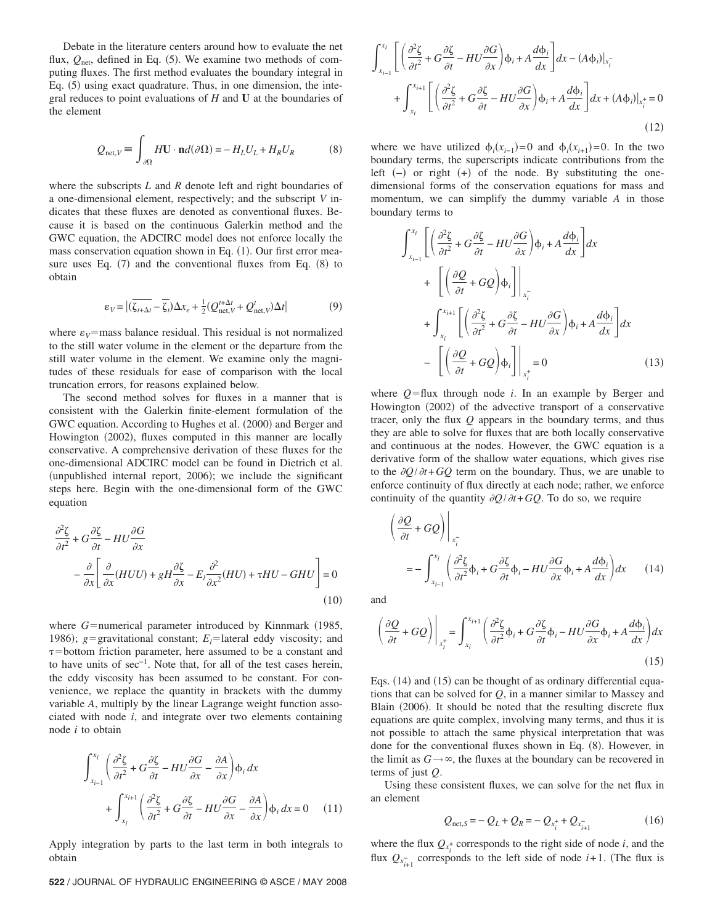Debate in the literature centers around how to evaluate the net flux,  $Q_{\text{net}}$ , defined in Eq. (5). We examine two methods of computing fluxes. The first method evaluates the boundary integral in Eq. (5) using exact quadrature. Thus, in one dimension, the integral reduces to point evaluations of *H* and **U** at the boundaries of the element

$$
Q_{\text{net},V} = \int_{\partial\Omega} H\mathbf{U} \cdot \mathbf{n} d(\partial\Omega) = -H_L U_L + H_R U_R \tag{8}
$$

where the subscripts *L* and *R* denote left and right boundaries of a one-dimensional element, respectively; and the subscript *V* indicates that these fluxes are denoted as conventional fluxes. Because it is based on the continuous Galerkin method and the GWC equation, the ADCIRC model does not enforce locally the mass conservation equation shown in Eq. (1). Our first error measure uses Eq.  $(7)$  and the conventional fluxes from Eq.  $(8)$  to obtain

$$
\varepsilon_V = |(\overline{\zeta_{t+\Delta t}} - \overline{\zeta_t})\Delta x_e + \frac{1}{2}(Q_{\text{net},V}^{t+\Delta t} + Q_{\text{net},V}^t)\Delta t|
$$
(9)

where  $\varepsilon_V$ =mass balance residual. This residual is not normalized to the still water volume in the element or the departure from the still water volume in the element. We examine only the magnitudes of these residuals for ease of comparison with the local truncation errors, for reasons explained below.

The second method solves for fluxes in a manner that is consistent with the Galerkin finite-element formulation of the GWC equation. According to Hughes et al. (2000) and Berger and Howington (2002), fluxes computed in this manner are locally conservative. A comprehensive derivation of these fluxes for the one-dimensional ADCIRC model can be found in Dietrich et al. (unpublished internal report, 2006); we include the significant steps here. Begin with the one-dimensional form of the GWC equation

$$
\frac{\partial^2 \zeta}{\partial t^2} + G \frac{\partial \zeta}{\partial t} - HU \frac{\partial G}{\partial x} \n- \frac{\partial}{\partial x} \left[ \frac{\partial}{\partial x} (HUU) + gH \frac{\partial \zeta}{\partial x} - E_l \frac{\partial^2}{\partial x^2} (HU) + \tau HU - GHU \right] = 0
$$
\n(10)

where  $G=$ numerical parameter introduced by Kinnmark  $(1985,$ 1986);  $g =$ gravitational constant;  $E_l =$ lateral eddy viscosity; and  $\tau$ =bottom friction parameter, here assumed to be a constant and to have units of sec−1. Note that, for all of the test cases herein, the eddy viscosity has been assumed to be constant. For convenience, we replace the quantity in brackets with the dummy variable *A*, multiply by the linear Lagrange weight function associated with node *i*, and integrate over two elements containing node *i* to obtain

$$
\int_{x_{i-1}}^{x_i} \left( \frac{\partial^2 \zeta}{\partial t^2} + G \frac{\partial \zeta}{\partial t} - H U \frac{\partial G}{\partial x} - \frac{\partial A}{\partial x} \right) \phi_i dx
$$
  
+ 
$$
\int_{x_i}^{x_{i+1}} \left( \frac{\partial^2 \zeta}{\partial t^2} + G \frac{\partial \zeta}{\partial t} - H U \frac{\partial G}{\partial x} - \frac{\partial A}{\partial x} \right) \phi_i dx = 0 \quad (11)
$$

Apply integration by parts to the last term in both integrals to obtain

## **522** / JOURNAL OF HYDRAULIC ENGINEERING © ASCE / MAY 2008

$$
\int_{x_{i-1}}^{x_i} \left[ \left( \frac{\partial^2 \zeta}{\partial t^2} + G \frac{\partial \zeta}{\partial t} - H U \frac{\partial G}{\partial x} \right) \phi_i + A \frac{d \phi_i}{dx} \right] dx - (A \phi_i)|_{x_i^-}
$$
  
+ 
$$
\int_{x_i}^{x_{i+1}} \left[ \left( \frac{\partial^2 \zeta}{\partial t^2} + G \frac{\partial \zeta}{\partial t} - H U \frac{\partial G}{\partial x} \right) \phi_i + A \frac{d \phi_i}{dx} \right] dx + (A \phi_i)|_{x_i^+} = 0
$$
(12)

where we have utilized  $\phi_i(x_{i-1}) = 0$  and  $\phi_i(x_{i+1}) = 0$ . In the two boundary terms, the superscripts indicate contributions from the left  $(-)$  or right  $(+)$  of the node. By substituting the onedimensional forms of the conservation equations for mass and momentum, we can simplify the dummy variable *A* in those boundary terms to

$$
\int_{x_{i-1}}^{x_i} \left[ \left( \frac{\partial^2 \zeta}{\partial t^2} + G \frac{\partial \zeta}{\partial t} - H U \frac{\partial G}{\partial x} \right) \phi_i + A \frac{d \phi_i}{dx} \right] dx
$$
  
+ 
$$
\left[ \left( \frac{\partial Q}{\partial t} + G Q \right) \phi_i \right] \Big|_{x_i^-}
$$
  
+ 
$$
\int_{x_i}^{x_{i+1}} \left[ \left( \frac{\partial^2 \zeta}{\partial t^2} + G \frac{\partial \zeta}{\partial t} - H U \frac{\partial G}{\partial x} \right) \phi_i + A \frac{d \phi_i}{dx} \right] dx
$$
  
- 
$$
\left[ \left( \frac{\partial Q}{\partial t} + G Q \right) \phi_i \right] \Big|_{x_i^+} = 0
$$
(13)

where  $Q = flux$  through node *i*. In an example by Berger and Howington (2002) of the advective transport of a conservative tracer, only the flux *Q* appears in the boundary terms, and thus they are able to solve for fluxes that are both locally conservative and continuous at the nodes. However, the GWC equation is a derivative form of the shallow water equations, which gives rise to the  $\partial Q/\partial t + GQ$  term on the boundary. Thus, we are unable to enforce continuity of flux directly at each node; rather, we enforce continuity of the quantity  $\partial Q / \partial t + GQ$ . To do so, we require

$$
\left(\frac{\partial Q}{\partial t} + GQ\right)\Big|_{x_i^-} = -\int_{x_{i-1}}^{x_i} \left(\frac{\partial^2 \zeta}{\partial t^2} \phi_i + G \frac{\partial \zeta}{\partial t} \phi_i - HU \frac{\partial G}{\partial x} \phi_i + A \frac{d \phi_i}{dx}\right) dx \tag{14}
$$

and

$$
\left(\frac{\partial Q}{\partial t} + GQ\right)\Big|_{x_i^+} = \int_{x_i}^{x_{i+1}} \left(\frac{\partial^2 \zeta}{\partial t^2} \phi_i + G\frac{\partial \zeta}{\partial t} \phi_i - H U \frac{\partial G}{\partial x} \phi_i + A \frac{d \phi_i}{dx}\right) dx
$$
\n(15)

Eqs. (14) and (15) can be thought of as ordinary differential equations that can be solved for *Q*, in a manner similar to Massey and Blain (2006). It should be noted that the resulting discrete flux equations are quite complex, involving many terms, and thus it is not possible to attach the same physical interpretation that was done for the conventional fluxes shown in Eq. (8). However, in the limit as  $G \rightarrow \infty$ , the fluxes at the boundary can be recovered in terms of just *Q*.

Using these consistent fluxes, we can solve for the net flux in an element

$$
Q_{\text{net},S} = -Q_L + Q_R = -Q_{x_i^+} + Q_{x_{i+1}^-}
$$
 (16)

where the flux  $Q_{x_i^+}$  corresponds to the right side of node *i*, and the flux  $Q_{x_{i+1}}$  corresponds to the left side of node *i*+1. (The flux is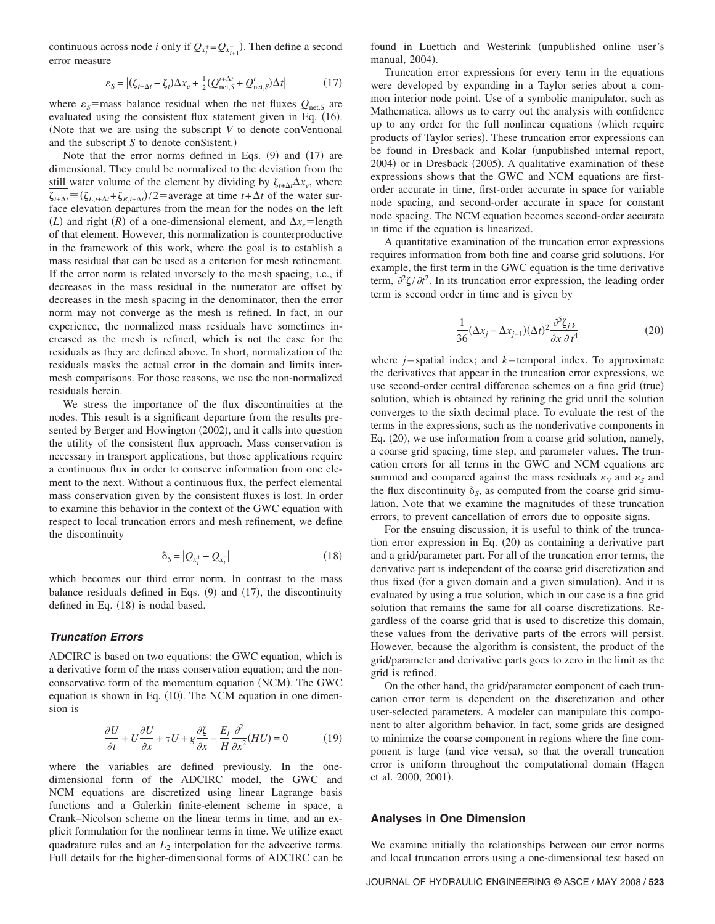continuous across node *i* only if  $Q_{x_i^+} = Q_{x_{i+1}^-}$ . Then define a second error measure

$$
\varepsilon_{S} = |(\overline{\zeta_{t+\Delta t}} - \overline{\zeta_{t}}) \Delta x_{e} + \frac{1}{2} (Q_{\text{net},S}^{t+\Delta t} + Q_{\text{net},S}^{t}) \Delta t|
$$
(17)

where  $\varepsilon_s$ =mass balance residual when the net fluxes  $Q_{\text{net},S}$  are evaluated using the consistent flux statement given in Eq. (16). Note that we are using the subscript *V* to denote conVentional and the subscript *S* to denote conSistent.)

Note that the error norms defined in Eqs.  $(9)$  and  $(17)$  are dimensional. They could be normalized to the deviation from the still water volume of the element by dividing by  $\zeta_{t+\Delta t} \Delta x_e$ , where  $\zeta_{t+\Delta t} = (\zeta_{L,t+\Delta t} + \zeta_{R,t+\Delta t})/2$  = average at time  $t + \Delta t$  of the water surface elevation departures from the mean for the nodes on the left (*L*) and right (*R*) of a one-dimensional element, and  $\Delta x_e$ =length of that element. However, this normalization is counterproductive in the framework of this work, where the goal is to establish a mass residual that can be used as a criterion for mesh refinement. If the error norm is related inversely to the mesh spacing, i.e., if decreases in the mass residual in the numerator are offset by decreases in the mesh spacing in the denominator, then the error norm may not converge as the mesh is refined. In fact, in our experience, the normalized mass residuals have sometimes increased as the mesh is refined, which is not the case for the residuals as they are defined above. In short, normalization of the residuals masks the actual error in the domain and limits intermesh comparisons. For those reasons, we use the non-normalized residuals herein.

We stress the importance of the flux discontinuities at the nodes. This result is a significant departure from the results presented by Berger and Howington (2002), and it calls into question the utility of the consistent flux approach. Mass conservation is necessary in transport applications, but those applications require a continuous flux in order to conserve information from one element to the next. Without a continuous flux, the perfect elemental mass conservation given by the consistent fluxes is lost. In order to examine this behavior in the context of the GWC equation with respect to local truncation errors and mesh refinement, we define the discontinuity

$$
\delta_S = |Q_{x_i^+} - Q_{x_i^-}| \tag{18}
$$

which becomes our third error norm. In contrast to the mass balance residuals defined in Eqs.  $(9)$  and  $(17)$ , the discontinuity defined in Eq.  $(18)$  is nodal based.

## *Truncation Errors*

ADCIRC is based on two equations: the GWC equation, which is a derivative form of the mass conservation equation; and the nonconservative form of the momentum equation (NCM). The GWC equation is shown in Eq. (10). The NCM equation in one dimension is

$$
\frac{\partial U}{\partial t} + U \frac{\partial U}{\partial x} + \tau U + g \frac{\partial \zeta}{\partial x} - \frac{E_l}{H} \frac{\partial^2}{\partial x^2} (HU) = 0 \tag{19}
$$

where the variables are defined previously. In the onedimensional form of the ADCIRC model, the GWC and NCM equations are discretized using linear Lagrange basis functions and a Galerkin finite-element scheme in space, a Crank–Nicolson scheme on the linear terms in time, and an explicit formulation for the nonlinear terms in time. We utilize exact quadrature rules and an  $L_2$  interpolation for the advective terms. Full details for the higher-dimensional forms of ADCIRC can be found in Luettich and Westerink (unpublished online user's manual, 2004).

Truncation error expressions for every term in the equations were developed by expanding in a Taylor series about a common interior node point. Use of a symbolic manipulator, such as Mathematica, allows us to carry out the analysis with confidence up to any order for the full nonlinear equations (which require products of Taylor series). These truncation error expressions can be found in Dresback and Kolar (unpublished internal report, 2004) or in Dresback (2005). A qualitative examination of these expressions shows that the GWC and NCM equations are firstorder accurate in time, first-order accurate in space for variable node spacing, and second-order accurate in space for constant node spacing. The NCM equation becomes second-order accurate in time if the equation is linearized.

A quantitative examination of the truncation error expressions requires information from both fine and coarse grid solutions. For example, the first term in the GWC equation is the time derivative term,  $\partial^2 \zeta / \partial t^2$ . In its truncation error expression, the leading order term is second order in time and is given by

$$
\frac{1}{36}(\Delta x_j - \Delta x_{j-1})(\Delta t)^2 \frac{\partial^5 \zeta_{j,k}}{\partial x \partial t^4}
$$
\n(20)

where  $j$ =spatial index; and  $k$ =temporal index. To approximate the derivatives that appear in the truncation error expressions, we use second-order central difference schemes on a fine grid (true) solution, which is obtained by refining the grid until the solution converges to the sixth decimal place. To evaluate the rest of the terms in the expressions, such as the nonderivative components in Eq. (20), we use information from a coarse grid solution, namely, a coarse grid spacing, time step, and parameter values. The truncation errors for all terms in the GWC and NCM equations are summed and compared against the mass residuals  $\varepsilon_V$  and  $\varepsilon_S$  and the flux discontinuity  $\delta_s$ , as computed from the coarse grid simulation. Note that we examine the magnitudes of these truncation errors, to prevent cancellation of errors due to opposite signs.

For the ensuing discussion, it is useful to think of the truncation error expression in Eq. (20) as containing a derivative part and a grid/parameter part. For all of the truncation error terms, the derivative part is independent of the coarse grid discretization and thus fixed (for a given domain and a given simulation). And it is evaluated by using a true solution, which in our case is a fine grid solution that remains the same for all coarse discretizations. Regardless of the coarse grid that is used to discretize this domain, these values from the derivative parts of the errors will persist. However, because the algorithm is consistent, the product of the grid/parameter and derivative parts goes to zero in the limit as the grid is refined.

On the other hand, the grid/parameter component of each truncation error term is dependent on the discretization and other user-selected parameters. A modeler can manipulate this component to alter algorithm behavior. In fact, some grids are designed to minimize the coarse component in regions where the fine component is large (and vice versa), so that the overall truncation error is uniform throughout the computational domain (Hagen et al. 2000, 2001).

#### **Analyses in One Dimension**

We examine initially the relationships between our error norms and local truncation errors using a one-dimensional test based on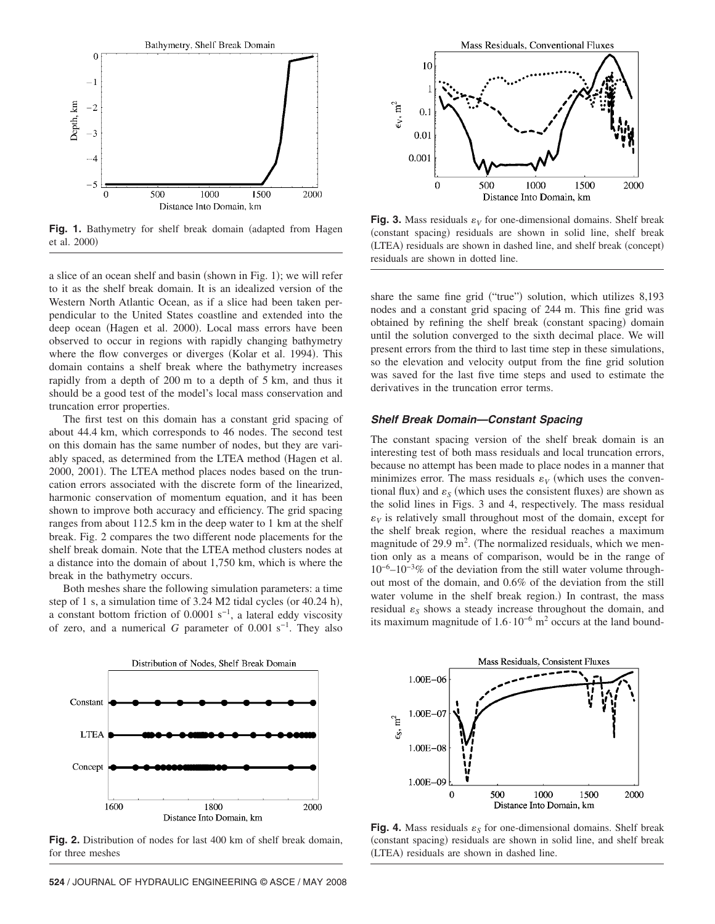

Fig. 1. Bathymetry for shelf break domain (adapted from Hagen et al. 2000)

a slice of an ocean shelf and basin (shown in Fig. 1); we will refer to it as the shelf break domain. It is an idealized version of the Western North Atlantic Ocean, as if a slice had been taken perpendicular to the United States coastline and extended into the deep ocean (Hagen et al. 2000). Local mass errors have been observed to occur in regions with rapidly changing bathymetry where the flow converges or diverges (Kolar et al. 1994). This domain contains a shelf break where the bathymetry increases rapidly from a depth of 200 m to a depth of 5 km, and thus it should be a good test of the model's local mass conservation and truncation error properties.

The first test on this domain has a constant grid spacing of about 44.4 km, which corresponds to 46 nodes. The second test on this domain has the same number of nodes, but they are variably spaced, as determined from the LTEA method (Hagen et al. 2000, 2001). The LTEA method places nodes based on the truncation errors associated with the discrete form of the linearized, harmonic conservation of momentum equation, and it has been shown to improve both accuracy and efficiency. The grid spacing ranges from about 112.5 km in the deep water to 1 km at the shelf break. Fig. 2 compares the two different node placements for the shelf break domain. Note that the LTEA method clusters nodes at a distance into the domain of about 1,750 km, which is where the break in the bathymetry occurs.

Both meshes share the following simulation parameters: a time step of 1 s, a simulation time of  $3.24$  M2 tidal cycles (or  $40.24$  h), a constant bottom friction of 0.0001 s<sup>-1</sup>, a lateral eddy viscosity of zero, and a numerical *G* parameter of 0.001 s−1. They also



**Fig. 3.** Mass residuals  $\varepsilon_V$  for one-dimensional domains. Shelf break (constant spacing) residuals are shown in solid line, shelf break (LTEA) residuals are shown in dashed line, and shelf break (concept) residuals are shown in dotted line.

share the same fine grid ("true") solution, which utilizes 8,193 nodes and a constant grid spacing of 244 m. This fine grid was obtained by refining the shelf break (constant spacing) domain until the solution converged to the sixth decimal place. We will present errors from the third to last time step in these simulations, so the elevation and velocity output from the fine grid solution was saved for the last five time steps and used to estimate the derivatives in the truncation error terms.

# *Shelf Break Domain—Constant Spacing*

The constant spacing version of the shelf break domain is an interesting test of both mass residuals and local truncation errors, because no attempt has been made to place nodes in a manner that minimizes error. The mass residuals  $\varepsilon_V$  (which uses the conventional flux) and  $\varepsilon_S$  (which uses the consistent fluxes) are shown as the solid lines in Figs. 3 and 4, respectively. The mass residual  $\varepsilon_V$  is relatively small throughout most of the domain, except for the shelf break region, where the residual reaches a maximum magnitude of  $29.9 \text{ m}^2$ . (The normalized residuals, which we mention only as a means of comparison, would be in the range of  $10^{-6}$ – $10^{-3}\%$  of the deviation from the still water volume throughout most of the domain, and 0.6% of the deviation from the still water volume in the shelf break region.) In contrast, the mass residual  $\varepsilon_s$  shows a steady increase throughout the domain, and its maximum magnitude of  $1.6 \cdot 10^{-6}$  m<sup>2</sup> occurs at the land bound-



**Fig. 2.** Distribution of nodes for last 400 km of shelf break domain, for three meshes



**Fig. 4.** Mass residuals  $\varepsilon_S$  for one-dimensional domains. Shelf break (constant spacing) residuals are shown in solid line, and shelf break (LTEA) residuals are shown in dashed line.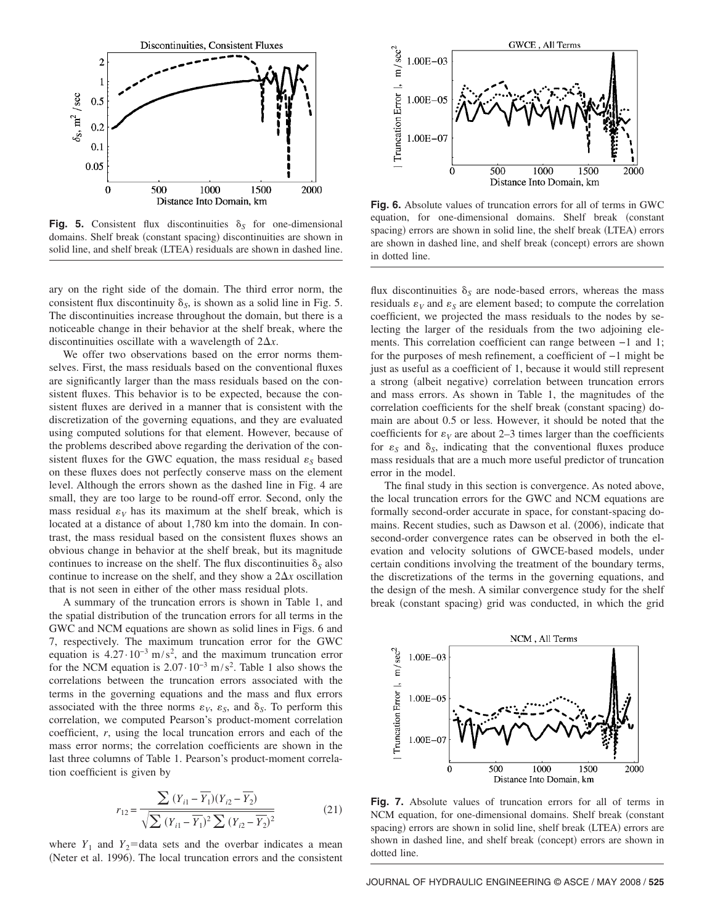

**Fig. 5.** Consistent flux discontinuities  $\delta_S$  for one-dimensional domains. Shelf break (constant spacing) discontinuities are shown in solid line, and shelf break (LTEA) residuals are shown in dashed line.

ary on the right side of the domain. The third error norm, the consistent flux discontinuity  $\delta_s$ , is shown as a solid line in Fig. 5. The discontinuities increase throughout the domain, but there is a noticeable change in their behavior at the shelf break, where the discontinuities oscillate with a wavelength of  $2\Delta x$ .

We offer two observations based on the error norms themselves. First, the mass residuals based on the conventional fluxes are significantly larger than the mass residuals based on the consistent fluxes. This behavior is to be expected, because the consistent fluxes are derived in a manner that is consistent with the discretization of the governing equations, and they are evaluated using computed solutions for that element. However, because of the problems described above regarding the derivation of the consistent fluxes for the GWC equation, the mass residual  $\varepsilon_s$  based on these fluxes does not perfectly conserve mass on the element level. Although the errors shown as the dashed line in Fig. 4 are small, they are too large to be round-off error. Second, only the mass residual  $\varepsilon_V$  has its maximum at the shelf break, which is located at a distance of about 1,780 km into the domain. In contrast, the mass residual based on the consistent fluxes shows an obvious change in behavior at the shelf break, but its magnitude continues to increase on the shelf. The flux discontinuities  $\delta_S$  also continue to increase on the shelf, and they show a  $2\Delta x$  oscillation that is not seen in either of the other mass residual plots.

A summary of the truncation errors is shown in Table 1, and the spatial distribution of the truncation errors for all terms in the GWC and NCM equations are shown as solid lines in Figs. 6 and 7, respectively. The maximum truncation error for the GWC equation is  $4.27 \cdot 10^{-3}$  m/s<sup>2</sup>, and the maximum truncation error for the NCM equation is  $2.07 \cdot 10^{-3}$  m/s<sup>2</sup>. Table 1 also shows the correlations between the truncation errors associated with the terms in the governing equations and the mass and flux errors associated with the three norms  $\varepsilon_V$ ,  $\varepsilon_S$ , and  $\delta_S$ . To perform this correlation, we computed Pearson's product-moment correlation coefficient, *r*, using the local truncation errors and each of the mass error norms; the correlation coefficients are shown in the last three columns of Table 1. Pearson's product-moment correlation coefficient is given by

$$
r_{12} = \frac{\sum (Y_{i1} - \overline{Y_1})(Y_{i2} - \overline{Y_2})}{\sqrt{\sum (Y_{i1} - \overline{Y_1})^2 \sum (Y_{i2} - \overline{Y_2})^2}}
$$
(21)

where  $Y_1$  and  $Y_2$ =data sets and the overbar indicates a mean (Neter et al. 1996). The local truncation errors and the consistent



**Fig. 6.** Absolute values of truncation errors for all of terms in GWC equation, for one-dimensional domains. Shelf break (constant spacing) errors are shown in solid line, the shelf break (LTEA) errors are shown in dashed line, and shelf break (concept) errors are shown in dotted line.

flux discontinuities  $\delta_S$  are node-based errors, whereas the mass residuals  $\varepsilon_V$  and  $\varepsilon_S$  are element based; to compute the correlation coefficient, we projected the mass residuals to the nodes by selecting the larger of the residuals from the two adjoining elements. This correlation coefficient can range between −1 and 1; for the purposes of mesh refinement, a coefficient of −1 might be just as useful as a coefficient of 1, because it would still represent a strong (albeit negative) correlation between truncation errors and mass errors. As shown in Table 1, the magnitudes of the correlation coefficients for the shelf break (constant spacing) domain are about 0.5 or less. However, it should be noted that the coefficients for  $\varepsilon_V$  are about 2–3 times larger than the coefficients for  $\varepsilon_s$  and  $\delta_s$ , indicating that the conventional fluxes produce mass residuals that are a much more useful predictor of truncation error in the model.

The final study in this section is convergence. As noted above, the local truncation errors for the GWC and NCM equations are formally second-order accurate in space, for constant-spacing domains. Recent studies, such as Dawson et al. (2006), indicate that second-order convergence rates can be observed in both the elevation and velocity solutions of GWCE-based models, under certain conditions involving the treatment of the boundary terms, the discretizations of the terms in the governing equations, and the design of the mesh. A similar convergence study for the shelf break (constant spacing) grid was conducted, in which the grid



**Fig. 7.** Absolute values of truncation errors for all of terms in NCM equation, for one-dimensional domains. Shelf break (constant spacing) errors are shown in solid line, shelf break (LTEA) errors are shown in dashed line, and shelf break (concept) errors are shown in dotted line.

JOURNAL OF HYDRAULIC ENGINEERING © ASCE / MAY 2008 / **525**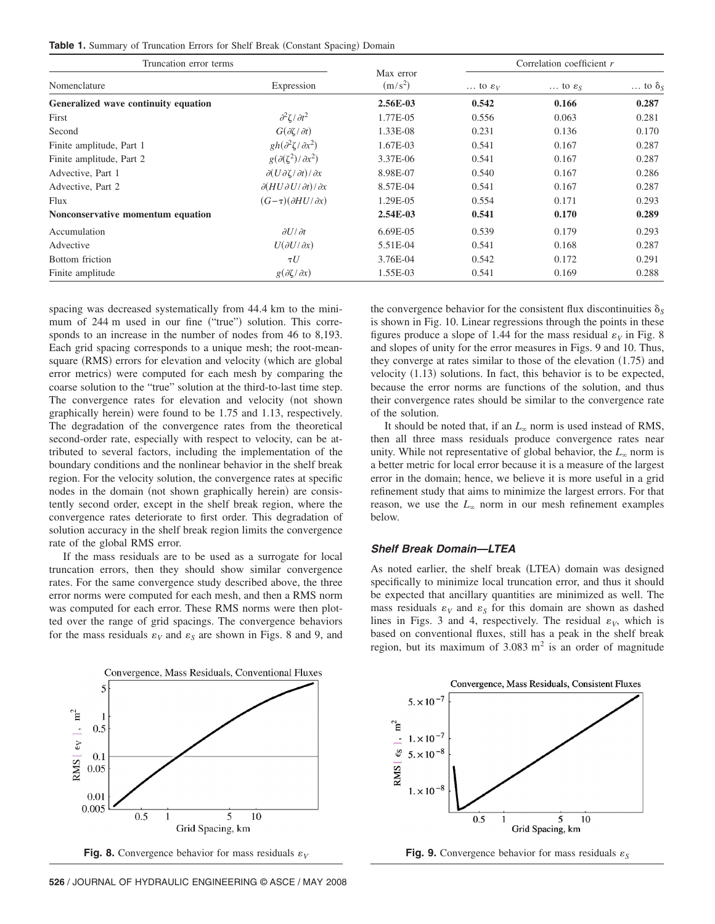Table 1. Summary of Truncation Errors for Shelf Break (Constant Spacing) Domain

| Truncation error terms               |                                                                                                                                                  | Correlation coefficient r        |                                           |                                           |                                           |
|--------------------------------------|--------------------------------------------------------------------------------------------------------------------------------------------------|----------------------------------|-------------------------------------------|-------------------------------------------|-------------------------------------------|
| Nomenclature                         | Expression                                                                                                                                       | Max error<br>$(m/s^2)$           | $\ldots$ to $\varepsilon_V$               | $\ldots$ to $\varepsilon_{S}$             | $\ldots$ to $\delta_s$                    |
| Generalized wave continuity equation |                                                                                                                                                  | 2.56E-03                         | 0.542                                     | 0.166                                     | 0.287                                     |
| First                                | $\frac{\partial^2 \zeta}{\partial t^2}$                                                                                                          | 1.77E-05                         | 0.556                                     | 0.063                                     | 0.281                                     |
| Second                               | $G(\partial \zeta/\partial t)$                                                                                                                   | 1.33E-08<br>1.67E-03<br>3.37E-06 | 0.231<br>0.541<br>0.541<br>0.540<br>0.541 | 0.136<br>0.167<br>0.167<br>0.167<br>0.167 | 0.170<br>0.287<br>0.287<br>0.286<br>0.287 |
| Finite amplitude, Part 1             | $gh(\partial^2\zeta/\partial x^2)$                                                                                                               |                                  |                                           |                                           |                                           |
| Finite amplitude, Part 2             | $g(\partial(\zeta^2)/\partial x^2)$<br>$\partial(U\partial\zeta/\partial t)/\partial x$<br>$\partial (H U \partial U / \partial t) / \partial x$ |                                  |                                           |                                           |                                           |
| Advective, Part 1                    |                                                                                                                                                  | 8.98E-07                         |                                           |                                           |                                           |
| Advective, Part 2                    |                                                                                                                                                  | 8.57E-04                         |                                           |                                           |                                           |
| Flux                                 | $(G-\tau)(\partial H U/\partial x)$                                                                                                              | 1.29E-05                         | 0.554                                     | 0.171                                     | 0.293                                     |
| Nonconservative momentum equation    |                                                                                                                                                  | 2.54E-03                         | 0.541                                     | 0.170                                     | 0.289                                     |
| Accumulation                         | $\partial U/\partial t$                                                                                                                          | 6.69E-05                         | 0.539                                     | 0.179                                     | 0.293                                     |
| Advective                            | $U(\partial U/\partial x)$                                                                                                                       | 5.51E-04                         | 0.541                                     | 0.168                                     | 0.287                                     |
| Bottom friction                      | $\tau U$                                                                                                                                         | 3.76E-04                         | 0.542                                     | 0.172                                     | 0.291                                     |
| Finite amplitude                     | $g(\partial \zeta/\partial x)$                                                                                                                   | 1.55E-03                         | 0.541                                     | 0.169                                     | 0.288                                     |

spacing was decreased systematically from 44.4 km to the minimum of 244 m used in our fine ("true") solution. This corresponds to an increase in the number of nodes from 46 to 8,193. Each grid spacing corresponds to a unique mesh; the root-meansquare (RMS) errors for elevation and velocity (which are global error metrics) were computed for each mesh by comparing the coarse solution to the "true" solution at the third-to-last time step. The convergence rates for elevation and velocity (not shown graphically herein) were found to be 1.75 and 1.13, respectively. The degradation of the convergence rates from the theoretical second-order rate, especially with respect to velocity, can be attributed to several factors, including the implementation of the boundary conditions and the nonlinear behavior in the shelf break region. For the velocity solution, the convergence rates at specific nodes in the domain (not shown graphically herein) are consistently second order, except in the shelf break region, where the convergence rates deteriorate to first order. This degradation of solution accuracy in the shelf break region limits the convergence rate of the global RMS error.

If the mass residuals are to be used as a surrogate for local truncation errors, then they should show similar convergence rates. For the same convergence study described above, the three error norms were computed for each mesh, and then a RMS norm was computed for each error. These RMS norms were then plotted over the range of grid spacings. The convergence behaviors for the mass residuals  $\varepsilon_V$  and  $\varepsilon_S$  are shown in Figs. 8 and 9, and



**526** / JOURNAL OF HYDRAULIC ENGINEERING © ASCE / MAY 2008

the convergence behavior for the consistent flux discontinuities  $\delta_S$ is shown in Fig. 10. Linear regressions through the points in these figures produce a slope of 1.44 for the mass residual  $\varepsilon_V$  in Fig. 8 and slopes of unity for the error measures in Figs. 9 and 10. Thus, they converge at rates similar to those of the elevation  $(1.75)$  and velocity  $(1.13)$  solutions. In fact, this behavior is to be expected, because the error norms are functions of the solution, and thus their convergence rates should be similar to the convergence rate of the solution.

It should be noted that, if an  $L_{\infty}$  norm is used instead of RMS, then all three mass residuals produce convergence rates near unity. While not representative of global behavior, the  $L_{\infty}$  norm is a better metric for local error because it is a measure of the largest error in the domain; hence, we believe it is more useful in a grid refinement study that aims to minimize the largest errors. For that reason, we use the  $L_{\infty}$  norm in our mesh refinement examples below.

#### *Shelf Break Domain—LTEA*

As noted earlier, the shelf break (LTEA) domain was designed specifically to minimize local truncation error, and thus it should be expected that ancillary quantities are minimized as well. The mass residuals  $\varepsilon_V$  and  $\varepsilon_S$  for this domain are shown as dashed lines in Figs. 3 and 4, respectively. The residual  $\varepsilon_V$ , which is based on conventional fluxes, still has a peak in the shelf break region, but its maximum of  $3.083 \text{ m}^2$  is an order of magnitude



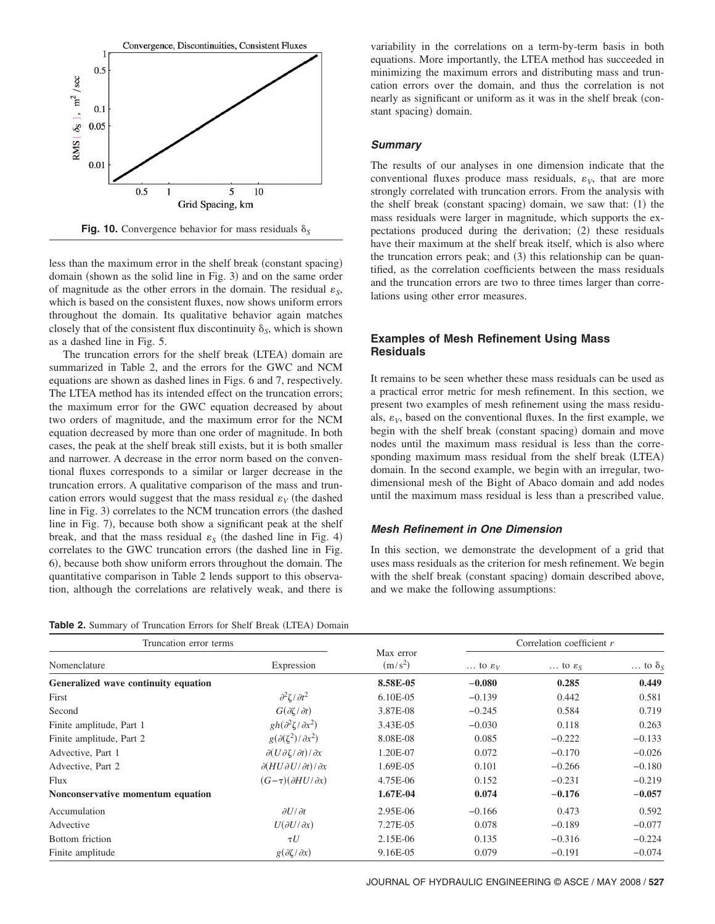

**Fig. 10.** Convergence behavior for mass residuals  $\delta_S$ 

less than the maximum error in the shelf break (constant spacing) domain (shown as the solid line in Fig. 3) and on the same order of magnitude as the other errors in the domain. The residual  $\varepsilon_s$ , which is based on the consistent fluxes, now shows uniform errors throughout the domain. Its qualitative behavior again matches closely that of the consistent flux discontinuity  $\delta_s$ , which is shown as a dashed line in Fig. 5.

The truncation errors for the shelf break (LTEA) domain are summarized in Table 2, and the errors for the GWC and NCM equations are shown as dashed lines in Figs. 6 and 7, respectively. The LTEA method has its intended effect on the truncation errors; the maximum error for the GWC equation decreased by about two orders of magnitude, and the maximum error for the NCM equation decreased by more than one order of magnitude. In both cases, the peak at the shelf break still exists, but it is both smaller and narrower. A decrease in the error norm based on the conventional fluxes corresponds to a similar or larger decrease in the truncation errors. A qualitative comparison of the mass and truncation errors would suggest that the mass residual  $\varepsilon_V$  (the dashed line in Fig. 3) correlates to the NCM truncation errors (the dashed line in Fig. 7), because both show a significant peak at the shelf break, and that the mass residual  $\varepsilon<sub>S</sub>$  (the dashed line in Fig. 4) correlates to the GWC truncation errors (the dashed line in Fig. 6), because both show uniform errors throughout the domain. The quantitative comparison in Table 2 lends support to this observation, although the correlations are relatively weak, and there is

Table 2. Summary of Truncation Errors for Shelf Break (LTEA) Domain

variability in the correlations on a term-by-term basis in both equations. More importantly, the LTEA method has succeeded in minimizing the maximum errors and distributing mass and truncation errors over the domain, and thus the correlation is not nearly as significant or uniform as it was in the shelf break (constant spacing) domain.

## *Summary*

The results of our analyses in one dimension indicate that the conventional fluxes produce mass residuals,  $\varepsilon_V$ , that are more strongly correlated with truncation errors. From the analysis with the shelf break (constant spacing) domain, we saw that: (1) the mass residuals were larger in magnitude, which supports the expectations produced during the derivation; (2) these residuals have their maximum at the shelf break itself, which is also where the truncation errors peak; and (3) this relationship can be quantified, as the correlation coefficients between the mass residuals and the truncation errors are two to three times larger than correlations using other error measures.

# **Examples of Mesh Refinement Using Mass Residuals**

It remains to be seen whether these mass residuals can be used as a practical error metric for mesh refinement. In this section, we present two examples of mesh refinement using the mass residuals,  $\varepsilon_V$ , based on the conventional fluxes. In the first example, we begin with the shelf break (constant spacing) domain and move nodes until the maximum mass residual is less than the corresponding maximum mass residual from the shelf break (LTEA) domain. In the second example, we begin with an irregular, twodimensional mesh of the Bight of Abaco domain and add nodes until the maximum mass residual is less than a prescribed value.

## *Mesh Refinement in One Dimension*

In this section, we demonstrate the development of a grid that uses mass residuals as the criterion for mesh refinement. We begin with the shelf break (constant spacing) domain described above, and we make the following assumptions:

| Truncation error terms               |                                                       |                        | Correlation coefficient r   |                               |                          |
|--------------------------------------|-------------------------------------------------------|------------------------|-----------------------------|-------------------------------|--------------------------|
| Nomenclature                         | Expression                                            | Max error<br>$(m/s^2)$ | $\ldots$ to $\varepsilon_V$ | $\ldots$ to $\varepsilon_{S}$ | $\ldots$ to $\delta_{S}$ |
| Generalized wave continuity equation |                                                       | 8.58E-05               | $-0.080$                    | 0.285                         | 0.449                    |
| First                                | $\frac{\partial^2 \zeta}{\partial t^2}$               | $6.10E-0.5$            | $-0.139$                    | 0.442                         | 0.581                    |
| Second                               | $G(\partial \zeta/\partial t)$                        | 3.87E-08               | $-0.245$                    | 0.584                         | 0.719                    |
| Finite amplitude, Part 1             | $gh(\partial^2\zeta/\partial x^2)$                    | 3.43E-05               | $-0.030$                    | 0.118                         | 0.263                    |
| Finite amplitude, Part 2             | $g(\partial(\zeta^2)/\partial x^2)$                   | 8.08E-08               | 0.085                       | $-0.222$                      | $-0.133$                 |
| Advective, Part 1                    | $\partial(U\partial\zeta/\partial t)/\partial x$      | 1.20E-07               | 0.072                       | $-0.170$                      | $-0.026$                 |
| Advective, Part 2                    | $\partial (H U \partial U / \partial t) / \partial x$ | 1.69E-05               | 0.101                       | $-0.266$                      | $-0.180$                 |
| Flux                                 | $(G-\tau)(\partial H U/\partial x)$                   | 4.75E-06               | 0.152                       | $-0.231$                      | $-0.219$                 |
| Nonconservative momentum equation    |                                                       | 1.67E-04               | 0.074                       | $-0.176$                      | $-0.057$                 |
| Accumulation                         | $\partial U/\partial t$                               | 2.95E-06               | $-0.166$                    | 0.473                         | 0.592                    |
| Advective                            | $U(\partial U/\partial x)$                            | 7.27E-05               | 0.078                       | $-0.189$                      | $-0.077$                 |
| Bottom friction                      | $\tau U$                                              | 2.15E-06               | 0.135                       | $-0.316$                      | $-0.224$                 |
| Finite amplitude                     | $g(\partial \zeta/\partial x)$                        | 9.16E-05               | 0.079                       | $-0.191$                      | $-0.074$                 |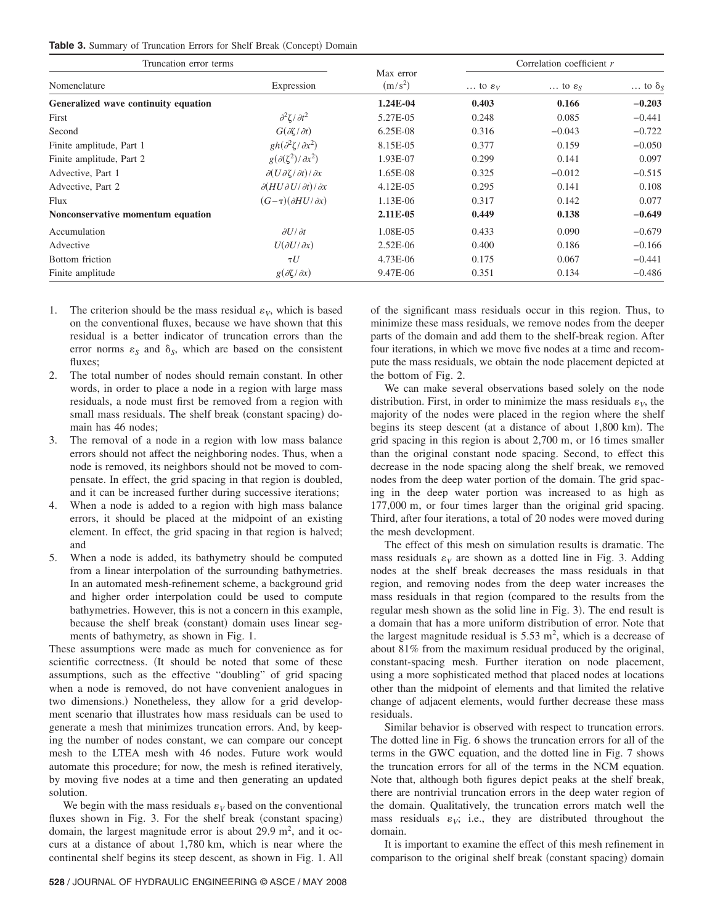|  |  |  |  | <b>Table 3.</b> Summary of Truncation Errors for Shelf Break (Concept) Domain |  |  |  |  |  |  |
|--|--|--|--|-------------------------------------------------------------------------------|--|--|--|--|--|--|
|--|--|--|--|-------------------------------------------------------------------------------|--|--|--|--|--|--|

| Truncation error terms               |                                                       | Correlation coefficient r |                             |                               |                        |
|--------------------------------------|-------------------------------------------------------|---------------------------|-----------------------------|-------------------------------|------------------------|
| Nomenclature                         | Expression                                            | Max error<br>$(m/s^2)$    | $\ldots$ to $\varepsilon_V$ | $\ldots$ to $\varepsilon_{S}$ | $\ldots$ to $\delta_S$ |
| Generalized wave continuity equation |                                                       | 1.24E-04                  | 0.403                       | 0.166                         | $-0.203$               |
| First                                | $\frac{\partial^2 \zeta}{\partial t^2}$               | 5.27E-05                  | 0.248                       | 0.085                         | $-0.441$               |
| Second                               | $G(\partial \zeta/\partial t)$                        | $6.25E-08$                | 0.316                       | $-0.043$                      | $-0.722$               |
| Finite amplitude, Part 1             | $gh(\partial^2\zeta/\partial x^2)$                    | 8.15E-05                  | 0.377                       | 0.159                         | $-0.050$               |
| Finite amplitude, Part 2             | $g(\partial(\zeta^2)/\partial x^2)$                   | 1.93E-07                  | 0.299                       | 0.141                         | 0.097                  |
| Advective, Part 1                    | $\partial(U\partial\zeta/\partial t)/\partial x$      | 1.65E-08                  | 0.325                       | $-0.012$                      | $-0.515$               |
| Advective, Part 2                    | $\partial (H U \partial U / \partial t) / \partial x$ | 4.12E-05                  | 0.295                       | 0.141                         | 0.108                  |
| Flux                                 | $(G-\tau)(\partial H U/\partial x)$                   | 1.13E-06                  | 0.317                       | 0.142                         | 0.077                  |
| Nonconservative momentum equation    |                                                       | 2.11E-05                  | 0.449                       | 0.138                         | $-0.649$               |
| Accumulation                         | $\partial U/\partial t$                               | 1.08E-05                  | 0.433                       | 0.090                         | $-0.679$               |
| Advective                            | $U(\partial U/\partial x)$                            | $2.52E-06$                | 0.400                       | 0.186                         | $-0.166$               |
| Bottom friction                      | $\tau U$                                              | 4.73E-06                  | 0.175                       | 0.067                         | $-0.441$               |
| Finite amplitude                     | $g(\partial \zeta/\partial x)$                        | 9.47E-06                  | 0.351                       | 0.134                         | $-0.486$               |

- 1. The criterion should be the mass residual  $\varepsilon_V$ , which is based on the conventional fluxes, because we have shown that this residual is a better indicator of truncation errors than the error norms  $\varepsilon_s$  and  $\delta_s$ , which are based on the consistent fluxes;
- 2. The total number of nodes should remain constant. In other words, in order to place a node in a region with large mass residuals, a node must first be removed from a region with small mass residuals. The shelf break (constant spacing) domain has 46 nodes;
- 3. The removal of a node in a region with low mass balance errors should not affect the neighboring nodes. Thus, when a node is removed, its neighbors should not be moved to compensate. In effect, the grid spacing in that region is doubled, and it can be increased further during successive iterations;
- 4. When a node is added to a region with high mass balance errors, it should be placed at the midpoint of an existing element. In effect, the grid spacing in that region is halved; and
- 5. When a node is added, its bathymetry should be computed from a linear interpolation of the surrounding bathymetries. In an automated mesh-refinement scheme, a background grid and higher order interpolation could be used to compute bathymetries. However, this is not a concern in this example, because the shelf break (constant) domain uses linear segments of bathymetry, as shown in Fig. 1.

These assumptions were made as much for convenience as for scientific correctness. (It should be noted that some of these assumptions, such as the effective "doubling" of grid spacing when a node is removed, do not have convenient analogues in two dimensions.) Nonetheless, they allow for a grid development scenario that illustrates how mass residuals can be used to generate a mesh that minimizes truncation errors. And, by keeping the number of nodes constant, we can compare our concept mesh to the LTEA mesh with 46 nodes. Future work would automate this procedure; for now, the mesh is refined iteratively, by moving five nodes at a time and then generating an updated solution.

We begin with the mass residuals  $\varepsilon_V$  based on the conventional fluxes shown in Fig. 3. For the shelf break (constant spacing) domain, the largest magnitude error is about 29.9  $m^2$ , and it occurs at a distance of about 1,780 km, which is near where the continental shelf begins its steep descent, as shown in Fig. 1. All of the significant mass residuals occur in this region. Thus, to minimize these mass residuals, we remove nodes from the deeper parts of the domain and add them to the shelf-break region. After four iterations, in which we move five nodes at a time and recompute the mass residuals, we obtain the node placement depicted at the bottom of Fig. 2.

We can make several observations based solely on the node distribution. First, in order to minimize the mass residuals  $\varepsilon_V$ , the majority of the nodes were placed in the region where the shelf begins its steep descent (at a distance of about 1,800 km). The grid spacing in this region is about 2,700 m, or 16 times smaller than the original constant node spacing. Second, to effect this decrease in the node spacing along the shelf break, we removed nodes from the deep water portion of the domain. The grid spacing in the deep water portion was increased to as high as 177,000 m, or four times larger than the original grid spacing. Third, after four iterations, a total of 20 nodes were moved during the mesh development.

The effect of this mesh on simulation results is dramatic. The mass residuals  $\varepsilon_V$  are shown as a dotted line in Fig. 3. Adding nodes at the shelf break decreases the mass residuals in that region, and removing nodes from the deep water increases the mass residuals in that region (compared to the results from the regular mesh shown as the solid line in Fig. 3). The end result is a domain that has a more uniform distribution of error. Note that the largest magnitude residual is  $5.53 \text{ m}^2$ , which is a decrease of about 81% from the maximum residual produced by the original, constant-spacing mesh. Further iteration on node placement, using a more sophisticated method that placed nodes at locations other than the midpoint of elements and that limited the relative change of adjacent elements, would further decrease these mass residuals.

Similar behavior is observed with respect to truncation errors. The dotted line in Fig. 6 shows the truncation errors for all of the terms in the GWC equation, and the dotted line in Fig. 7 shows the truncation errors for all of the terms in the NCM equation. Note that, although both figures depict peaks at the shelf break, there are nontrivial truncation errors in the deep water region of the domain. Qualitatively, the truncation errors match well the mass residuals  $\varepsilon_V$ ; i.e., they are distributed throughout the domain.

It is important to examine the effect of this mesh refinement in comparison to the original shelf break (constant spacing) domain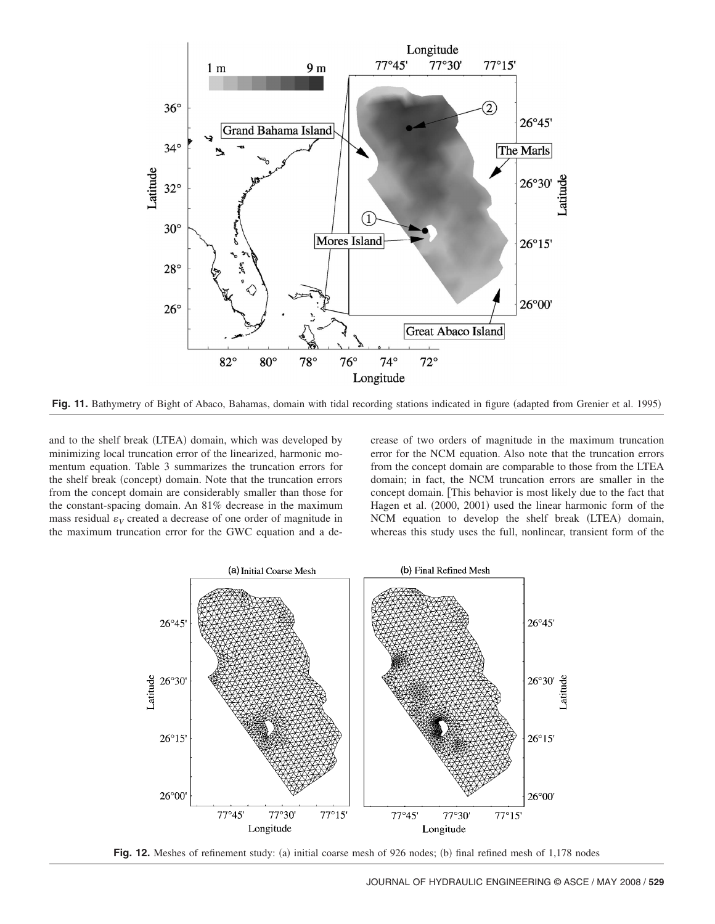

Fig. 11. Bathymetry of Bight of Abaco, Bahamas, domain with tidal recording stations indicated in figure (adapted from Grenier et al. 1995)

and to the shelf break (LTEA) domain, which was developed by minimizing local truncation error of the linearized, harmonic momentum equation. Table 3 summarizes the truncation errors for the shelf break (concept) domain. Note that the truncation errors from the concept domain are considerably smaller than those for the constant-spacing domain. An 81% decrease in the maximum mass residual  $\varepsilon_V$  created a decrease of one order of magnitude in the maximum truncation error for the GWC equation and a decrease of two orders of magnitude in the maximum truncation error for the NCM equation. Also note that the truncation errors from the concept domain are comparable to those from the LTEA domain; in fact, the NCM truncation errors are smaller in the concept domain. This behavior is most likely due to the fact that Hagen et al. (2000, 2001) used the linear harmonic form of the NCM equation to develop the shelf break (LTEA) domain, whereas this study uses the full, nonlinear, transient form of the



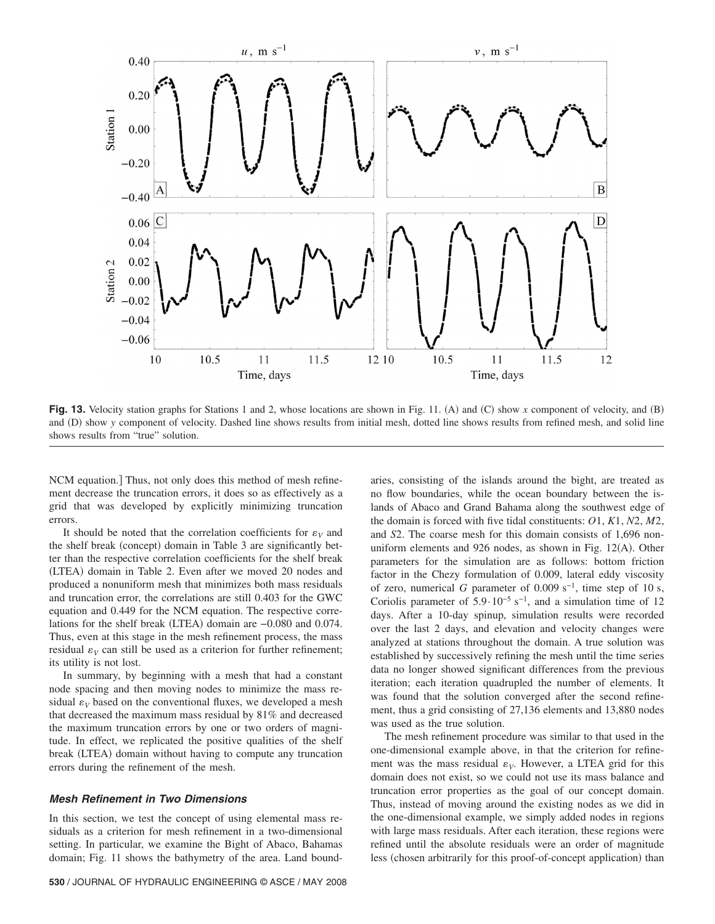

Fig. 13. Velocity station graphs for Stations 1 and 2, whose locations are shown in Fig. 11. (A) and (C) show *x* component of velocity, and (B) and (D) show *y* component of velocity. Dashed line shows results from initial mesh, dotted line shows results from refined mesh, and solid line shows results from "true" solution.

NCM equation.] Thus, not only does this method of mesh refinement decrease the truncation errors, it does so as effectively as a grid that was developed by explicitly minimizing truncation errors.

It should be noted that the correlation coefficients for  $\varepsilon_V$  and the shelf break (concept) domain in Table 3 are significantly better than the respective correlation coefficients for the shelf break (LTEA) domain in Table 2. Even after we moved 20 nodes and produced a nonuniform mesh that minimizes both mass residuals and truncation error, the correlations are still 0.403 for the GWC equation and 0.449 for the NCM equation. The respective correlations for the shelf break (LTEA) domain are -0.080 and 0.074. Thus, even at this stage in the mesh refinement process, the mass residual  $\varepsilon_V$  can still be used as a criterion for further refinement; its utility is not lost.

In summary, by beginning with a mesh that had a constant node spacing and then moving nodes to minimize the mass residual  $\varepsilon_V$  based on the conventional fluxes, we developed a mesh that decreased the maximum mass residual by 81% and decreased the maximum truncation errors by one or two orders of magnitude. In effect, we replicated the positive qualities of the shelf break (LTEA) domain without having to compute any truncation errors during the refinement of the mesh.

# *Mesh Refinement in Two Dimensions*

In this section, we test the concept of using elemental mass residuals as a criterion for mesh refinement in a two-dimensional setting. In particular, we examine the Bight of Abaco, Bahamas domain; Fig. 11 shows the bathymetry of the area. Land boundaries, consisting of the islands around the bight, are treated as no flow boundaries, while the ocean boundary between the islands of Abaco and Grand Bahama along the southwest edge of the domain is forced with five tidal constituents: *O*1, *K*1, *N*2, *M*2, and *S*2. The coarse mesh for this domain consists of 1,696 nonuniform elements and  $926$  nodes, as shown in Fig. 12(A). Other parameters for the simulation are as follows: bottom friction factor in the Chezy formulation of 0.009, lateral eddy viscosity of zero, numerical *G* parameter of 0.009 s<sup>-1</sup>, time step of 10 s, Coriolis parameter of  $5.9 \cdot 10^{-5}$  s<sup>-1</sup>, and a simulation time of 12 days. After a 10-day spinup, simulation results were recorded over the last 2 days, and elevation and velocity changes were analyzed at stations throughout the domain. A true solution was established by successively refining the mesh until the time series data no longer showed significant differences from the previous iteration; each iteration quadrupled the number of elements. It was found that the solution converged after the second refinement, thus a grid consisting of 27,136 elements and 13,880 nodes was used as the true solution.

The mesh refinement procedure was similar to that used in the one-dimensional example above, in that the criterion for refinement was the mass residual  $\varepsilon_V$ . However, a LTEA grid for this domain does not exist, so we could not use its mass balance and truncation error properties as the goal of our concept domain. Thus, instead of moving around the existing nodes as we did in the one-dimensional example, we simply added nodes in regions with large mass residuals. After each iteration, these regions were refined until the absolute residuals were an order of magnitude less (chosen arbitrarily for this proof-of-concept application) than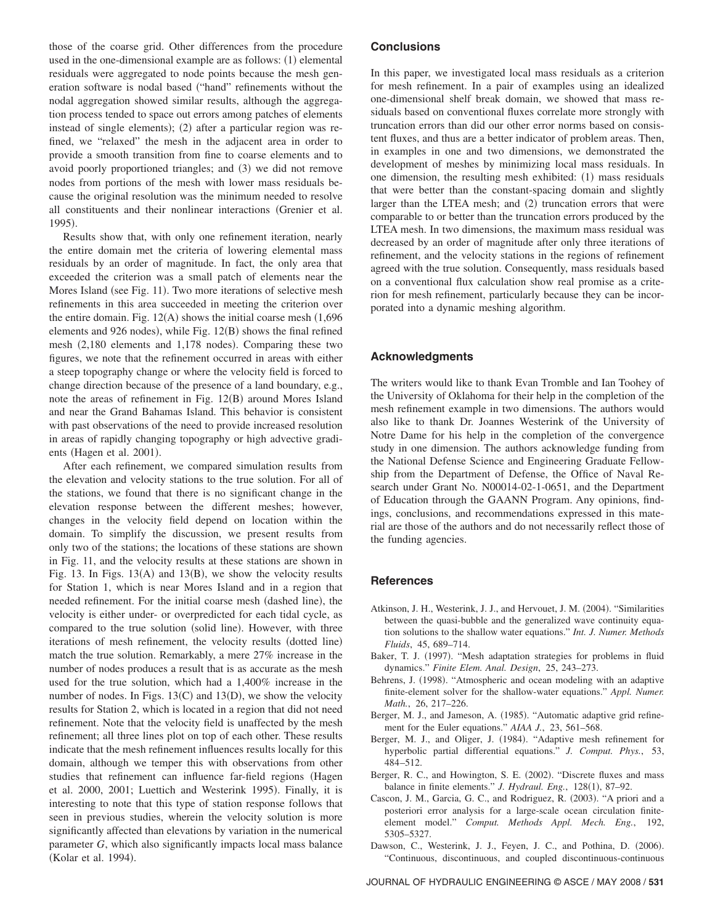those of the coarse grid. Other differences from the procedure used in the one-dimensional example are as follows: (1) elemental residuals were aggregated to node points because the mesh generation software is nodal based ("hand" refinements without the nodal aggregation showed similar results, although the aggregation process tended to space out errors among patches of elements instead of single elements); (2) after a particular region was refined, we "relaxed" the mesh in the adjacent area in order to provide a smooth transition from fine to coarse elements and to avoid poorly proportioned triangles; and (3) we did not remove nodes from portions of the mesh with lower mass residuals because the original resolution was the minimum needed to resolve all constituents and their nonlinear interactions Grenier et al. 1995).

Results show that, with only one refinement iteration, nearly the entire domain met the criteria of lowering elemental mass residuals by an order of magnitude. In fact, the only area that exceeded the criterion was a small patch of elements near the Mores Island (see Fig. 11). Two more iterations of selective mesh refinements in this area succeeded in meeting the criterion over the entire domain. Fig.  $12(A)$  shows the initial coarse mesh  $(1,696)$ elements and 926 nodes), while Fig. 12(B) shows the final refined mesh (2,180 elements and 1,178 nodes). Comparing these two figures, we note that the refinement occurred in areas with either a steep topography change or where the velocity field is forced to change direction because of the presence of a land boundary, e.g., note the areas of refinement in Fig. 12(B) around Mores Island and near the Grand Bahamas Island. This behavior is consistent with past observations of the need to provide increased resolution in areas of rapidly changing topography or high advective gradients (Hagen et al. 2001).

After each refinement, we compared simulation results from the elevation and velocity stations to the true solution. For all of the stations, we found that there is no significant change in the elevation response between the different meshes; however, changes in the velocity field depend on location within the domain. To simplify the discussion, we present results from only two of the stations; the locations of these stations are shown in Fig. 11, and the velocity results at these stations are shown in Fig. 13. In Figs.  $13(A)$  and  $13(B)$ , we show the velocity results for Station 1, which is near Mores Island and in a region that needed refinement. For the initial coarse mesh (dashed line), the velocity is either under- or overpredicted for each tidal cycle, as compared to the true solution (solid line). However, with three iterations of mesh refinement, the velocity results (dotted line) match the true solution. Remarkably, a mere 27% increase in the number of nodes produces a result that is as accurate as the mesh used for the true solution, which had a 1,400% increase in the number of nodes. In Figs.  $13(C)$  and  $13(D)$ , we show the velocity results for Station 2, which is located in a region that did not need refinement. Note that the velocity field is unaffected by the mesh refinement; all three lines plot on top of each other. These results indicate that the mesh refinement influences results locally for this domain, although we temper this with observations from other studies that refinement can influence far-field regions (Hagen et al. 2000, 2001; Luettich and Westerink 1995). Finally, it is interesting to note that this type of station response follows that seen in previous studies, wherein the velocity solution is more significantly affected than elevations by variation in the numerical parameter *G*, which also significantly impacts local mass balance (Kolar et al. 1994).

# **Conclusions**

In this paper, we investigated local mass residuals as a criterion for mesh refinement. In a pair of examples using an idealized one-dimensional shelf break domain, we showed that mass residuals based on conventional fluxes correlate more strongly with truncation errors than did our other error norms based on consistent fluxes, and thus are a better indicator of problem areas. Then, in examples in one and two dimensions, we demonstrated the development of meshes by minimizing local mass residuals. In one dimension, the resulting mesh exhibited: (1) mass residuals that were better than the constant-spacing domain and slightly larger than the LTEA mesh; and (2) truncation errors that were comparable to or better than the truncation errors produced by the LTEA mesh. In two dimensions, the maximum mass residual was decreased by an order of magnitude after only three iterations of refinement, and the velocity stations in the regions of refinement agreed with the true solution. Consequently, mass residuals based on a conventional flux calculation show real promise as a criterion for mesh refinement, particularly because they can be incorporated into a dynamic meshing algorithm.

# **Acknowledgments**

The writers would like to thank Evan Tromble and Ian Toohey of the University of Oklahoma for their help in the completion of the mesh refinement example in two dimensions. The authors would also like to thank Dr. Joannes Westerink of the University of Notre Dame for his help in the completion of the convergence study in one dimension. The authors acknowledge funding from the National Defense Science and Engineering Graduate Fellowship from the Department of Defense, the Office of Naval Research under Grant No. N00014-02-1-0651, and the Department of Education through the GAANN Program. Any opinions, findings, conclusions, and recommendations expressed in this material are those of the authors and do not necessarily reflect those of the funding agencies.

## **References**

- Atkinson, J. H., Westerink, J. J., and Hervouet, J. M. (2004). "Similarities between the quasi-bubble and the generalized wave continuity equation solutions to the shallow water equations." *Int. J. Numer. Methods Fluids*, 45, 689–714.
- Baker, T. J. (1997). "Mesh adaptation strategies for problems in fluid dynamics." *Finite Elem. Anal. Design*, 25, 243–273.
- Behrens, J. (1998). "Atmospheric and ocean modeling with an adaptive finite-element solver for the shallow-water equations." *Appl. Numer. Math.*, 26, 217–226.
- Berger, M. J., and Jameson, A. (1985). "Automatic adaptive grid refinement for the Euler equations." *AIAA J.*, 23, 561–568.
- Berger, M. J., and Oliger, J. (1984). "Adaptive mesh refinement for hyperbolic partial differential equations." *J. Comput. Phys.*, 53, 484–512.
- Berger, R. C., and Howington, S. E. (2002). "Discrete fluxes and mass balance in finite elements." *J. Hydraul. Eng.*, 128(1), 87-92.
- Cascon, J. M., Garcia, G. C., and Rodriguez, R. (2003). "A priori and a posteriori error analysis for a large-scale ocean circulation finiteelement model." *Comput. Methods Appl. Mech. Eng.*, 192, 5305–5327.
- Dawson, C., Westerink, J. J., Feyen, J. C., and Pothina, D. (2006). "Continuous, discontinuous, and coupled discontinuous-continuous